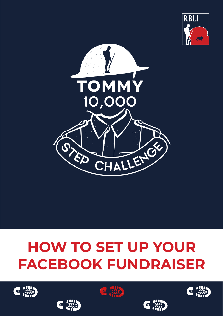



# **HOW TO SET UP YOUR FACEBOOK FUNDRAISER**









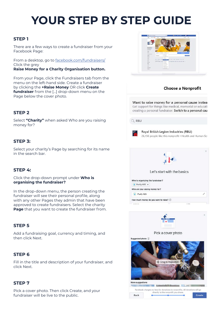# **YOUR STEP BY STEP GUIDE**

# **STEP 1**

There are a few ways to create a fundraiser from your Facebook Page:

From a desktop, go to facebook.com/fundraisers/ Click the grey

**Raise Money for a Charity Organisation button.**

From your Page, click the Fundraisers tab from the menu on the left-hand side. Create a fundraiser by clicking the **+Raise Money** OR click **Create fundraiser** from the […] drop-down menu on the Page below the cover photo.

# **STEP 2**

Select **"Charity"** when asked Who are you raising money for?

## **STEP 3:**

Select your charity's Page by searching for its name in the search bar.

## **STEP 4:**

Click the drop-down prompt under **Who is organising the fundraiser?**

In the drop-down menu, the person creating the fundraiser will see their personal profile, along with any other Pages they admin that have been approved to create fundraisers. Select the charity **Page** that you want to create the fundraiser from.

## **STEP 5**

Add a fundraising goal, currency and timing, and then click Next.

# **STEP 6**

Fill in the title and description of your fundraiser, and click Next.

#### **STEP 7**

Pick a cover photo. Then click Create, and your fundraiser will be live to the public.



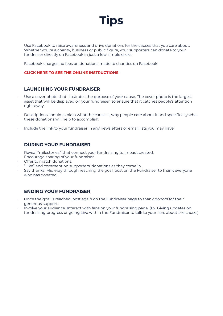

Use Facebook to raise awareness and drive donations for the causes that you care about. Whether you're a charity, business or public figure, your supporters can donate to your fundraiser directly on Facebook in just a few simple clicks.

Facebook charges no fees on donations made to charities on Facebook.

#### **CLICK HERE TO SEE THE ONLINE INSTRUCTIONS**

#### **LAUNCHING YOUR FUNDRAISER**

- Use a cover photo that illustrates the purpose of your cause. The cover photo is the largest asset that will be displayed on your fundraiser, so ensure that it catches people's attention right away.
- Descriptions should explain what the cause is, why people care about it and specifically what these donations will help to accomplish.
- Include the link to your fundraiser in any newsletters or email lists you may have.

#### **DURING YOUR FUNDRAISER**

- Reveal "milestones," that connect your fundraising to impact created.
- Encourage sharing of your fundraiser.
- Offer to match donations.
- "Like" and comment on supporters' donations as they come in.
- Say thanks! Mid-way through reaching the goal, post on the Fundraiser to thank everyone who has donated.

#### **ENDING YOUR FUNDRAISER**

- Once the goal is reached, post again on the Fundraiser page to thank donors for their generous support.
- Involve your audience. Interact with fans on your fundraising page. (Ex. Giving updates on fundraising progress or going Live within the Fundraiser to talk to your fans about the cause.)